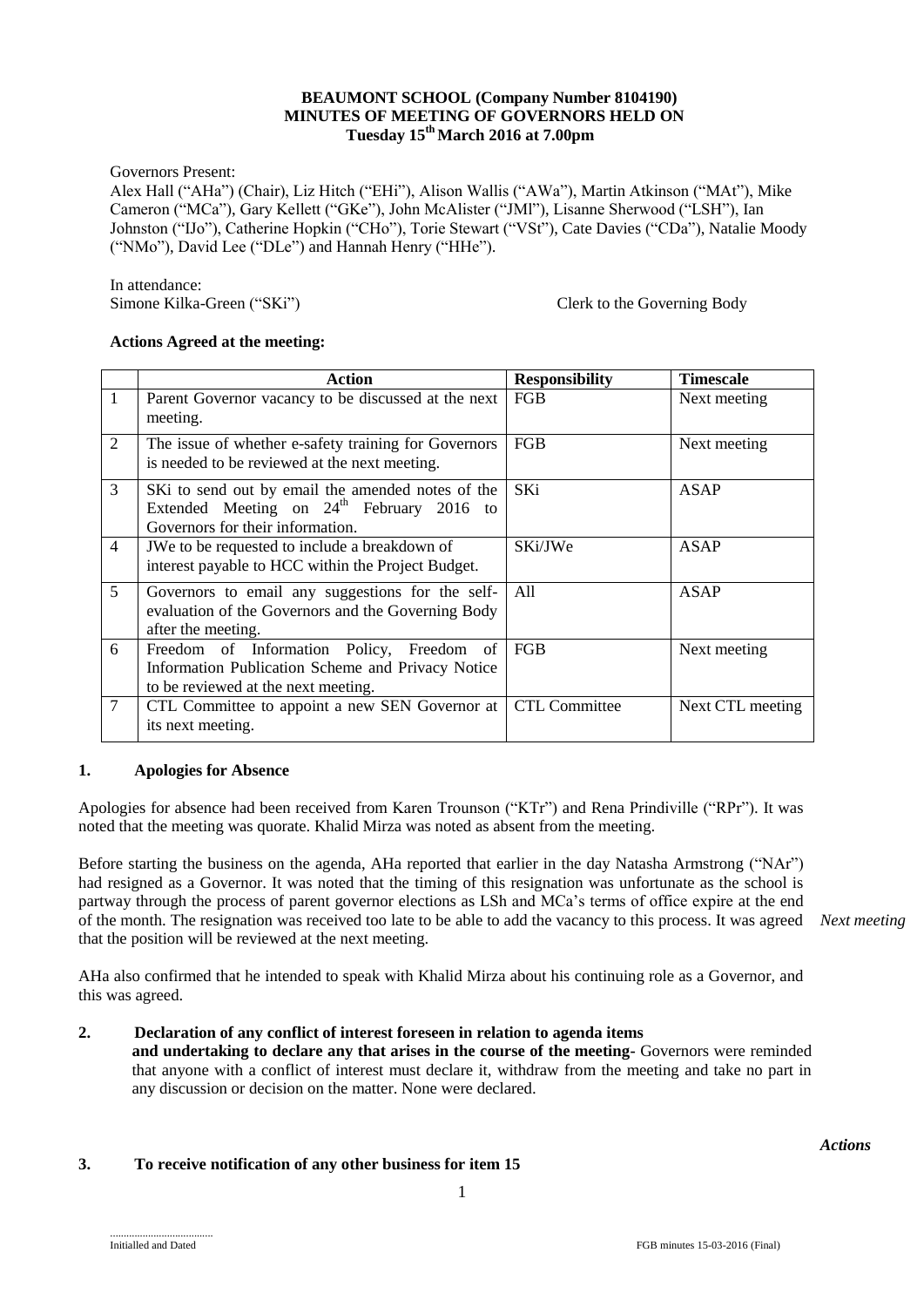### **BEAUMONT SCHOOL (Company Number 8104190) MINUTES OF MEETING OF GOVERNORS HELD ON Tuesday 15 thMarch 2016 at 7.00pm**

Governors Present:

Alex Hall ("AHa") (Chair), Liz Hitch ("EHi"), Alison Wallis ("AWa"), Martin Atkinson ("MAt"), Mike Cameron ("MCa"), Gary Kellett ("GKe"), John McAlister ("JMl"), Lisanne Sherwood ("LSH"), Ian Johnston ("IJo"), Catherine Hopkin ("CHo"), Torie Stewart ("VSt"), Cate Davies ("CDa"), Natalie Moody ("NMo"), David Lee ("DLe") and Hannah Henry ("HHe").

In attendance:<br>Simone Kilka-Green ("SKi")

Clerk to the Governing Body

## **Actions Agreed at the meeting:**

|                | Action                                                                                                                                | <b>Responsibility</b> | <b>Timescale</b> |
|----------------|---------------------------------------------------------------------------------------------------------------------------------------|-----------------------|------------------|
| 1              | Parent Governor vacancy to be discussed at the next<br>meeting.                                                                       | FGB                   | Next meeting     |
| 2              | The issue of whether e-safety training for Governors<br>is needed to be reviewed at the next meeting.                                 | FGB                   | Next meeting     |
| 3              | SKi to send out by email the amended notes of the<br>Extended Meeting on $24th$ February 2016 to<br>Governors for their information.  | SKi                   | ASAP             |
| $\overline{4}$ | JWe to be requested to include a breakdown of<br>interest payable to HCC within the Project Budget.                                   | SKi/JWe               | ASAP             |
| 5              | Governors to email any suggestions for the self-<br>evaluation of the Governors and the Governing Body<br>after the meeting.          | A11                   | <b>ASAP</b>      |
| 6              | Freedom of Information Policy, Freedom of<br>Information Publication Scheme and Privacy Notice<br>to be reviewed at the next meeting. | FGB                   | Next meeting     |
| 7              | CTL Committee to appoint a new SEN Governor at<br>its next meeting.                                                                   | <b>CTL Committee</b>  | Next CTL meeting |

## **1. Apologies for Absence**

Apologies for absence had been received from Karen Trounson ("KTr") and Rena Prindiville ("RPr"). It was noted that the meeting was quorate. Khalid Mirza was noted as absent from the meeting.

Before starting the business on the agenda, AHa reported that earlier in the day Natasha Armstrong ("NAr") had resigned as a Governor. It was noted that the timing of this resignation was unfortunate as the school is partway through the process of parent governor elections as LSh and MCa's terms of office expire at the end of the month. The resignation was received too late to be able to add the vacancy to this process. It was agreed *Next meeting* that the position will be reviewed at the next meeting.

AHa also confirmed that he intended to speak with Khalid Mirza about his continuing role as a Governor, and this was agreed.

## **2. Declaration of any conflict of interest foreseen in relation to agenda items**

**and undertaking to declare any that arises in the course of the meeting-** Governors were reminded that anyone with a conflict of interest must declare it, withdraw from the meeting and take no part in any discussion or decision on the matter. None were declared.

## **3. To receive notification of any other business for item 15**

*Actions*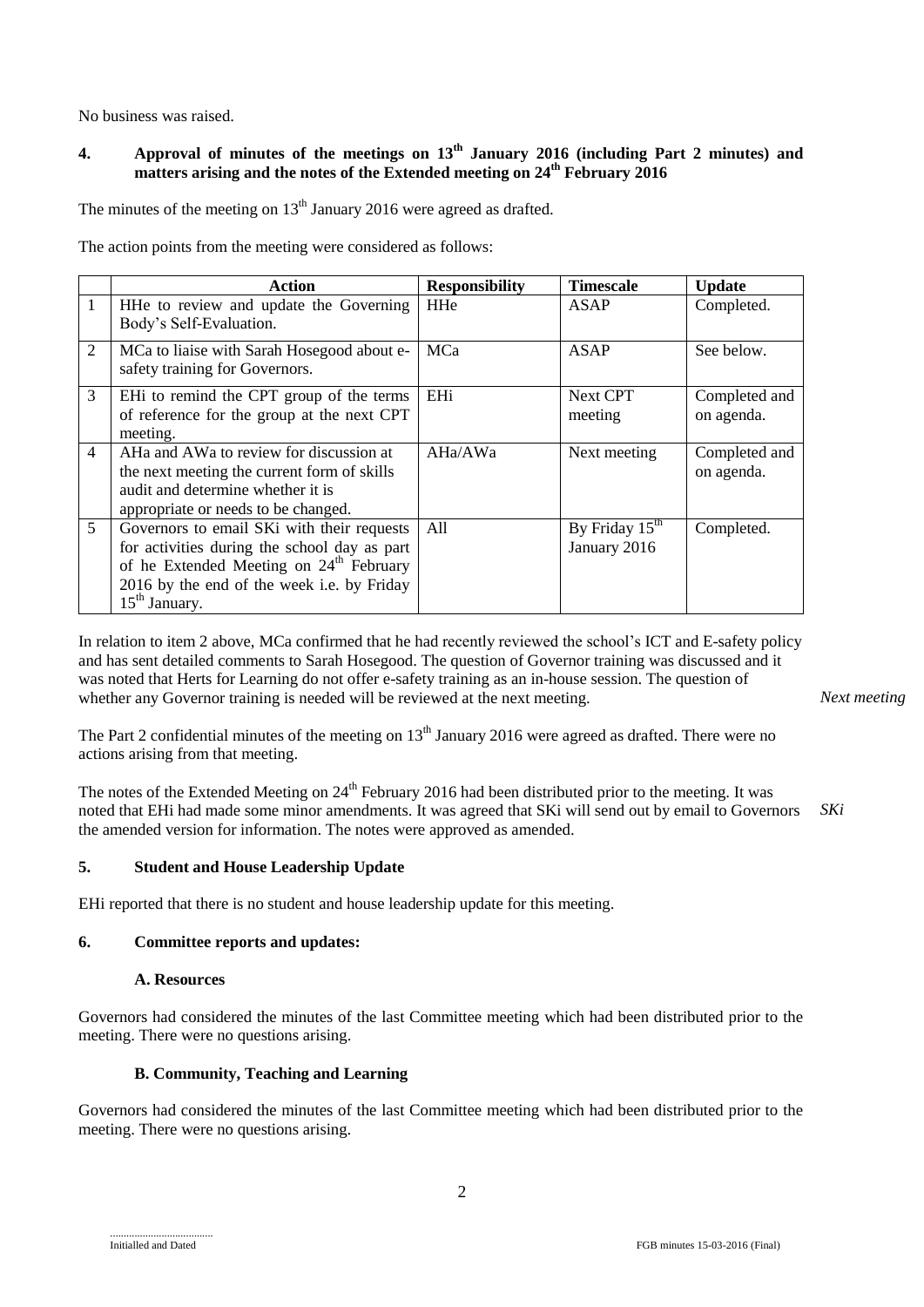No business was raised.

# **4. Approval of minutes of the meetings on 13th January 2016 (including Part 2 minutes) and matters arising and the notes of the Extended meeting on 24th February 2016**

The minutes of the meeting on  $13<sup>th</sup>$  January 2016 were agreed as drafted.

The action points from the meeting were considered as follows:

|                | Action                                              | <b>Responsibility</b> | <b>Timescale</b>           | <b>Update</b> |
|----------------|-----------------------------------------------------|-----------------------|----------------------------|---------------|
| $\mathbf{1}$   | HHe to review and update the Governing              | <b>HHe</b>            | ASAP                       | Completed.    |
|                | Body's Self-Evaluation.                             |                       |                            |               |
| 2              | MCa to liaise with Sarah Hosegood about e-          | MCa                   | ASAP                       | See below.    |
|                | safety training for Governors.                      |                       |                            |               |
| 3              | EHi to remind the CPT group of the terms            | EHi                   | Next CPT                   | Completed and |
|                | of reference for the group at the next CPT          |                       | meeting                    | on agenda.    |
|                | meeting.                                            |                       |                            |               |
| $\overline{4}$ | AHa and AWa to review for discussion at             | AHa/AWa               | Next meeting               | Completed and |
|                | the next meeting the current form of skills         |                       |                            | on agenda.    |
|                | audit and determine whether it is                   |                       |                            |               |
|                | appropriate or needs to be changed.                 |                       |                            |               |
| 5 <sup>5</sup> | Governors to email SKi with their requests          | A11                   | By Friday $15^{\text{th}}$ | Completed.    |
|                | for activities during the school day as part        |                       | January 2016               |               |
|                | of he Extended Meeting on 24 <sup>th</sup> February |                       |                            |               |
|                | 2016 by the end of the week i.e. by Friday          |                       |                            |               |
|                | $15th$ January.                                     |                       |                            |               |

In relation to item 2 above, MCa confirmed that he had recently reviewed the school's ICT and E-safety policy and has sent detailed comments to Sarah Hosegood. The question of Governor training was discussed and it was noted that Herts for Learning do not offer e-safety training as an in-house session. The question of whether any Governor training is needed will be reviewed at the next meeting.

*Next meeting*

The Part 2 confidential minutes of the meeting on  $13<sup>th</sup>$  January 2016 were agreed as drafted. There were no actions arising from that meeting.

The notes of the Extended Meeting on 24<sup>th</sup> February 2016 had been distributed prior to the meeting. It was noted that EHi had made some minor amendments. It was agreed that SKi will send out by email to Governors the amended version for information. The notes were approved as amended. *SKi*

## **5. Student and House Leadership Update**

EHi reported that there is no student and house leadership update for this meeting.

# **6. Committee reports and updates:**

### **A. Resources**

Governors had considered the minutes of the last Committee meeting which had been distributed prior to the meeting. There were no questions arising.

## **B. Community, Teaching and Learning**

Governors had considered the minutes of the last Committee meeting which had been distributed prior to the meeting. There were no questions arising.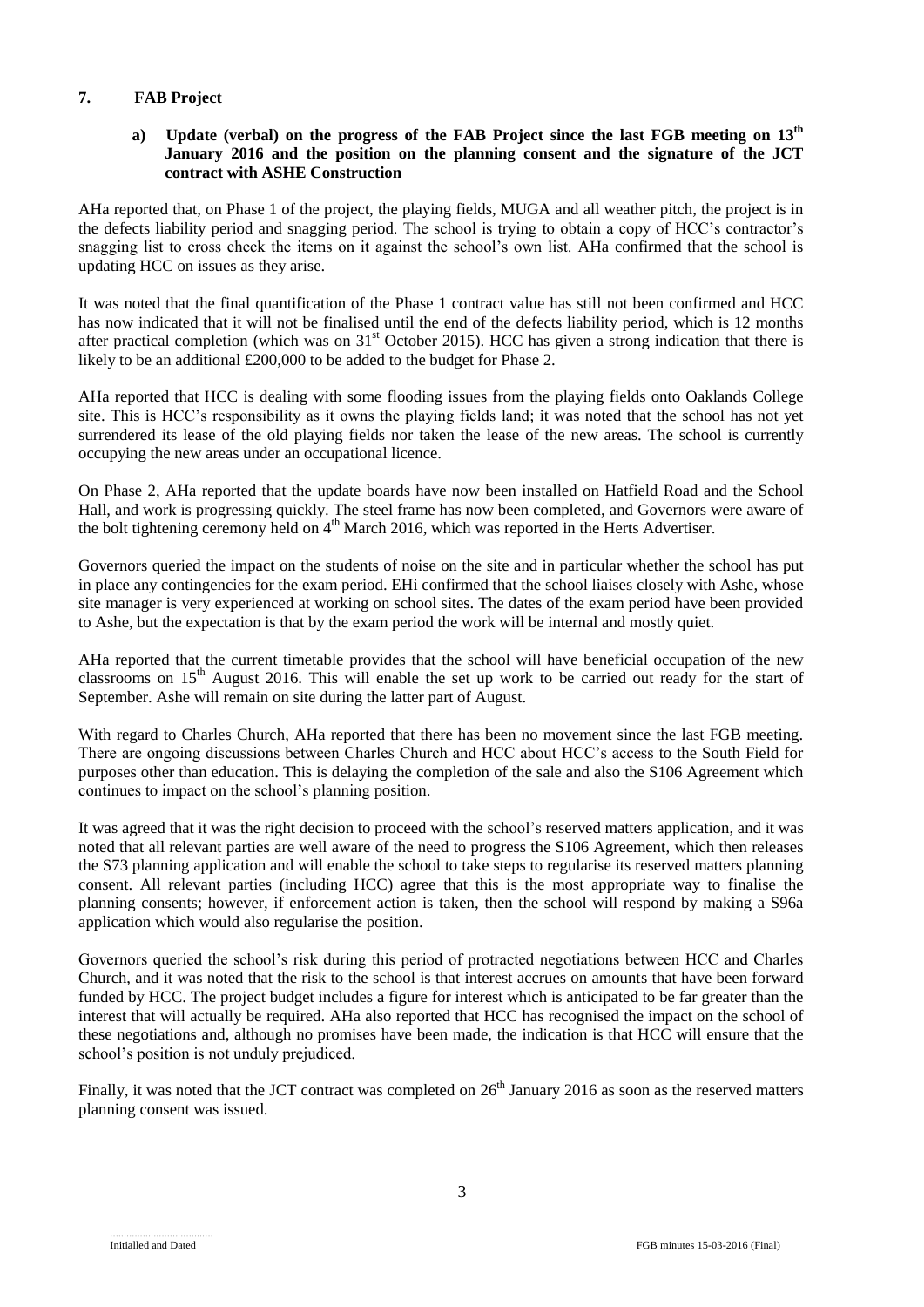# **7. FAB Project**

## a) Update (verbal) on the progress of the FAB Project since the last FGB meeting on  $13<sup>th</sup>$ **January 2016 and the position on the planning consent and the signature of the JCT contract with ASHE Construction**

AHa reported that, on Phase 1 of the project, the playing fields, MUGA and all weather pitch, the project is in the defects liability period and snagging period. The school is trying to obtain a copy of HCC's contractor's snagging list to cross check the items on it against the school's own list. AHa confirmed that the school is updating HCC on issues as they arise.

It was noted that the final quantification of the Phase 1 contract value has still not been confirmed and HCC has now indicated that it will not be finalised until the end of the defects liability period, which is 12 months after practical completion (which was on 31<sup>st</sup> October 2015). HCC has given a strong indication that there is likely to be an additional £200,000 to be added to the budget for Phase 2.

AHa reported that HCC is dealing with some flooding issues from the playing fields onto Oaklands College site. This is HCC's responsibility as it owns the playing fields land; it was noted that the school has not yet surrendered its lease of the old playing fields nor taken the lease of the new areas. The school is currently occupying the new areas under an occupational licence.

On Phase 2, AHa reported that the update boards have now been installed on Hatfield Road and the School Hall, and work is progressing quickly. The steel frame has now been completed, and Governors were aware of the bolt tightening ceremony held on 4<sup>th</sup> March 2016, which was reported in the Herts Advertiser.

Governors queried the impact on the students of noise on the site and in particular whether the school has put in place any contingencies for the exam period. EHi confirmed that the school liaises closely with Ashe, whose site manager is very experienced at working on school sites. The dates of the exam period have been provided to Ashe, but the expectation is that by the exam period the work will be internal and mostly quiet.

AHa reported that the current timetable provides that the school will have beneficial occupation of the new classrooms on 15<sup>th</sup> August 2016. This will enable the set up work to be carried out ready for the start of September. Ashe will remain on site during the latter part of August.

With regard to Charles Church, AHa reported that there has been no movement since the last FGB meeting. There are ongoing discussions between Charles Church and HCC about HCC's access to the South Field for purposes other than education. This is delaying the completion of the sale and also the S106 Agreement which continues to impact on the school's planning position.

It was agreed that it was the right decision to proceed with the school's reserved matters application, and it was noted that all relevant parties are well aware of the need to progress the S106 Agreement, which then releases the S73 planning application and will enable the school to take steps to regularise its reserved matters planning consent. All relevant parties (including HCC) agree that this is the most appropriate way to finalise the planning consents; however, if enforcement action is taken, then the school will respond by making a S96a application which would also regularise the position.

Governors queried the school's risk during this period of protracted negotiations between HCC and Charles Church, and it was noted that the risk to the school is that interest accrues on amounts that have been forward funded by HCC. The project budget includes a figure for interest which is anticipated to be far greater than the interest that will actually be required. AHa also reported that HCC has recognised the impact on the school of these negotiations and, although no promises have been made, the indication is that HCC will ensure that the school's position is not unduly prejudiced.

Finally, it was noted that the JCT contract was completed on 26<sup>th</sup> January 2016 as soon as the reserved matters planning consent was issued.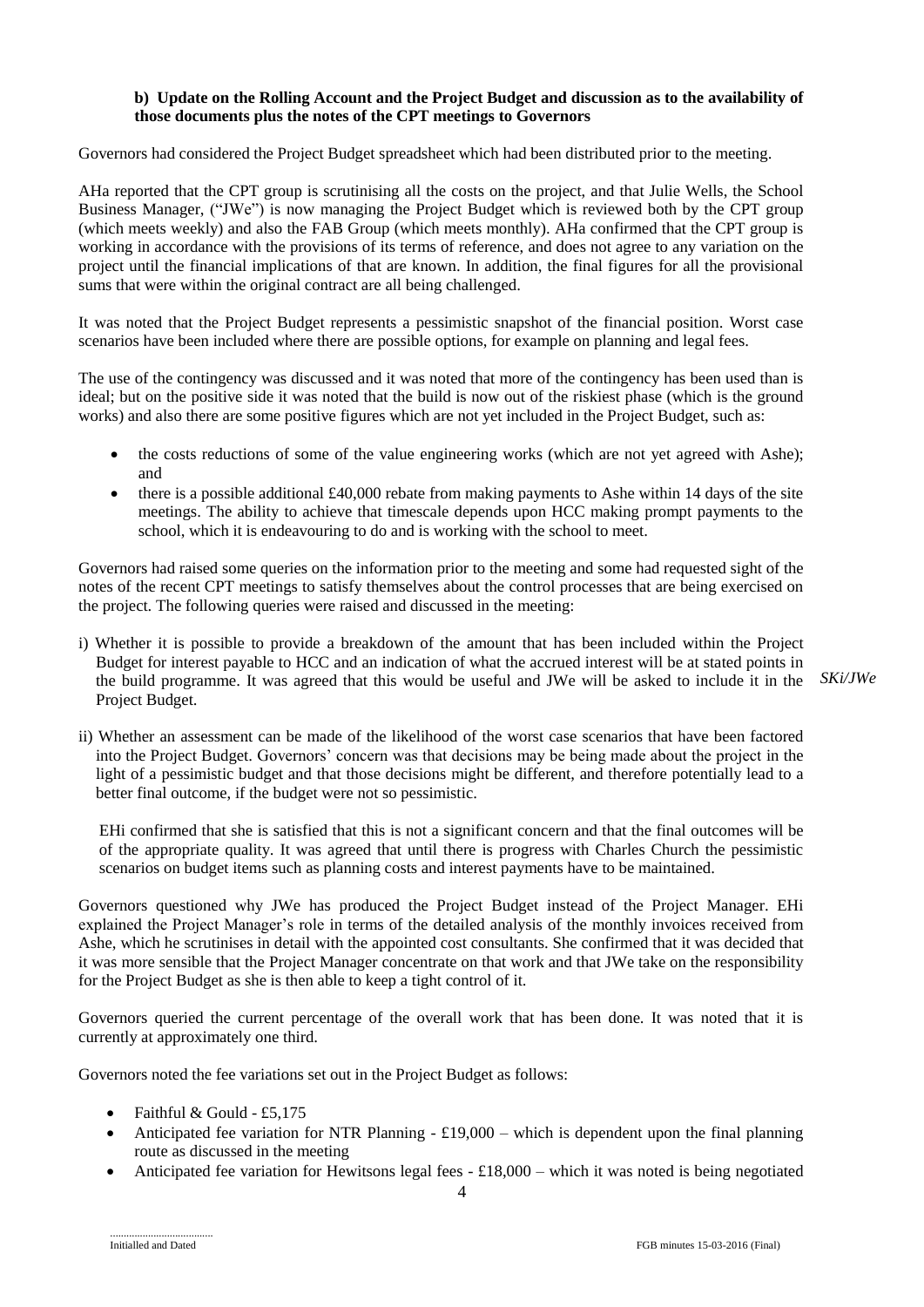### **b) Update on the Rolling Account and the Project Budget and discussion as to the availability of those documents plus the notes of the CPT meetings to Governors**

Governors had considered the Project Budget spreadsheet which had been distributed prior to the meeting.

AHa reported that the CPT group is scrutinising all the costs on the project, and that Julie Wells, the School Business Manager, ("JWe") is now managing the Project Budget which is reviewed both by the CPT group (which meets weekly) and also the FAB Group (which meets monthly). AHa confirmed that the CPT group is working in accordance with the provisions of its terms of reference, and does not agree to any variation on the project until the financial implications of that are known. In addition, the final figures for all the provisional sums that were within the original contract are all being challenged.

It was noted that the Project Budget represents a pessimistic snapshot of the financial position. Worst case scenarios have been included where there are possible options, for example on planning and legal fees.

The use of the contingency was discussed and it was noted that more of the contingency has been used than is ideal; but on the positive side it was noted that the build is now out of the riskiest phase (which is the ground works) and also there are some positive figures which are not yet included in the Project Budget, such as:

- the costs reductions of some of the value engineering works (which are not yet agreed with Ashe); and
- there is a possible additional £40,000 rebate from making payments to Ashe within 14 days of the site meetings. The ability to achieve that timescale depends upon HCC making prompt payments to the school, which it is endeavouring to do and is working with the school to meet.

Governors had raised some queries on the information prior to the meeting and some had requested sight of the notes of the recent CPT meetings to satisfy themselves about the control processes that are being exercised on the project. The following queries were raised and discussed in the meeting:

i) Whether it is possible to provide a breakdown of the amount that has been included within the Project Budget for interest payable to HCC and an indication of what the accrued interest will be at stated points in the build programme. It was agreed that this would be useful and JWe will be asked to include it in the *SKi/JWe*Project Budget.

ii) Whether an assessment can be made of the likelihood of the worst case scenarios that have been factored into the Project Budget. Governors' concern was that decisions may be being made about the project in the light of a pessimistic budget and that those decisions might be different, and therefore potentially lead to a better final outcome, if the budget were not so pessimistic.

EHi confirmed that she is satisfied that this is not a significant concern and that the final outcomes will be of the appropriate quality. It was agreed that until there is progress with Charles Church the pessimistic scenarios on budget items such as planning costs and interest payments have to be maintained.

Governors questioned why JWe has produced the Project Budget instead of the Project Manager. EHi explained the Project Manager's role in terms of the detailed analysis of the monthly invoices received from Ashe, which he scrutinises in detail with the appointed cost consultants. She confirmed that it was decided that it was more sensible that the Project Manager concentrate on that work and that JWe take on the responsibility for the Project Budget as she is then able to keep a tight control of it.

Governors queried the current percentage of the overall work that has been done. It was noted that it is currently at approximately one third.

Governors noted the fee variations set out in the Project Budget as follows:

- Faithful & Gould £5,175
- Anticipated fee variation for NTR Planning £19,000 which is dependent upon the final planning route as discussed in the meeting
- Anticipated fee variation for Hewitsons legal fees  $-£18,000 -$  which it was noted is being negotiated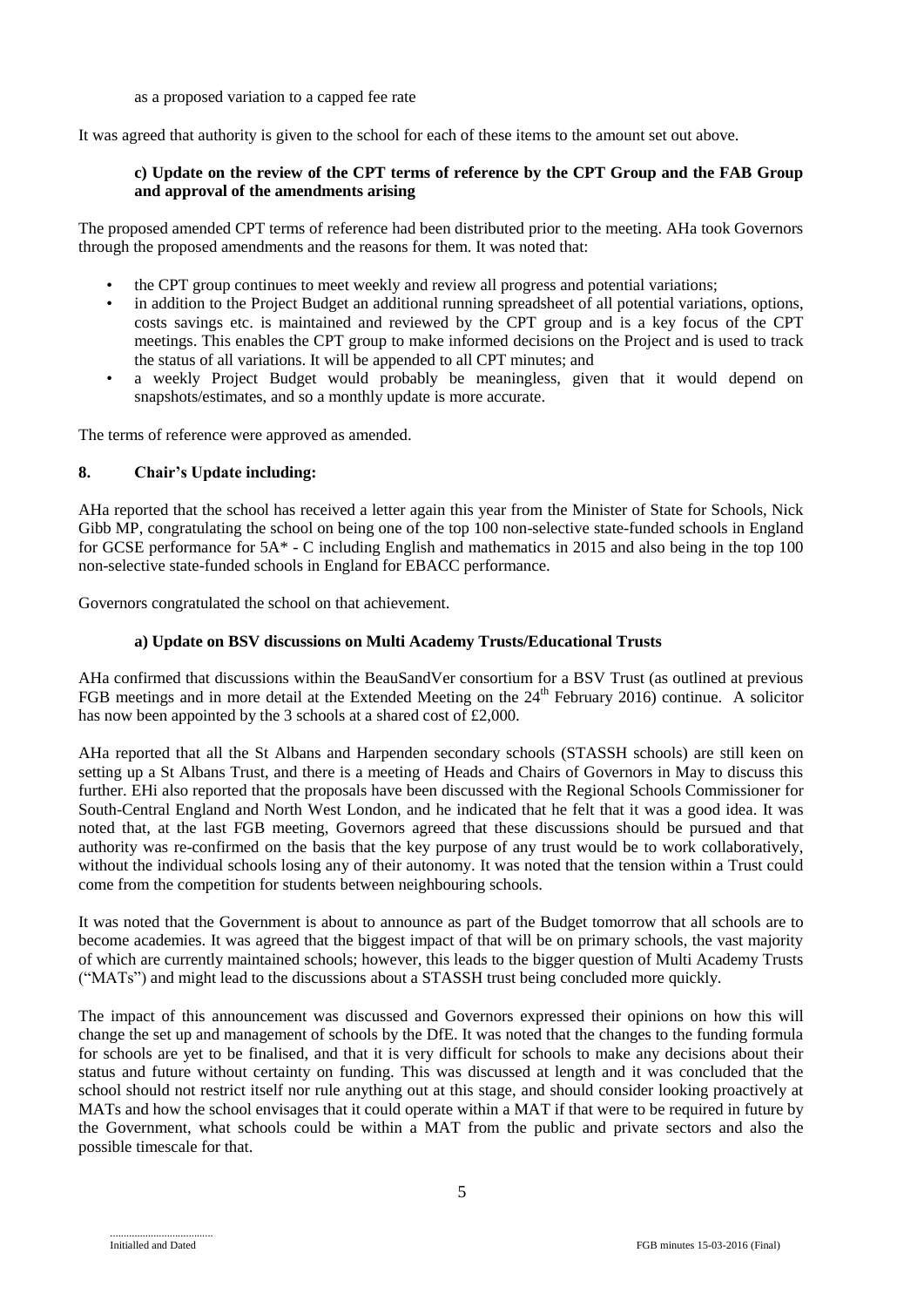as a proposed variation to a capped fee rate

It was agreed that authority is given to the school for each of these items to the amount set out above.

### **c) Update on the review of the CPT terms of reference by the CPT Group and the FAB Group and approval of the amendments arising**

The proposed amended CPT terms of reference had been distributed prior to the meeting. AHa took Governors through the proposed amendments and the reasons for them. It was noted that:

- the CPT group continues to meet weekly and review all progress and potential variations;
- in addition to the Project Budget an additional running spreadsheet of all potential variations, options, costs savings etc. is maintained and reviewed by the CPT group and is a key focus of the CPT meetings. This enables the CPT group to make informed decisions on the Project and is used to track the status of all variations. It will be appended to all CPT minutes; and
- a weekly Project Budget would probably be meaningless, given that it would depend on snapshots/estimates, and so a monthly update is more accurate.

The terms of reference were approved as amended.

### **8. Chair's Update including:**

AHa reported that the school has received a letter again this year from the Minister of State for Schools, Nick Gibb MP, congratulating the school on being one of the top 100 non-selective state-funded schools in England for GCSE performance for 5A\* - C including English and mathematics in 2015 and also being in the top 100 non-selective state-funded schools in England for EBACC performance.

Governors congratulated the school on that achievement.

### **a) Update on BSV discussions on Multi Academy Trusts/Educational Trusts**

AHa confirmed that discussions within the BeauSandVer consortium for a BSV Trust (as outlined at previous FGB meetings and in more detail at the Extended Meeting on the 24<sup>th</sup> February 2016) continue. A solicitor has now been appointed by the 3 schools at a shared cost of £2,000.

AHa reported that all the St Albans and Harpenden secondary schools (STASSH schools) are still keen on setting up a St Albans Trust, and there is a meeting of Heads and Chairs of Governors in May to discuss this further. EHi also reported that the proposals have been discussed with the Regional Schools Commissioner for South-Central England and North West London, and he indicated that he felt that it was a good idea. It was noted that, at the last FGB meeting, Governors agreed that these discussions should be pursued and that authority was re-confirmed on the basis that the key purpose of any trust would be to work collaboratively, without the individual schools losing any of their autonomy. It was noted that the tension within a Trust could come from the competition for students between neighbouring schools.

It was noted that the Government is about to announce as part of the Budget tomorrow that all schools are to become academies. It was agreed that the biggest impact of that will be on primary schools, the vast majority of which are currently maintained schools; however, this leads to the bigger question of Multi Academy Trusts ("MATs") and might lead to the discussions about a STASSH trust being concluded more quickly.

The impact of this announcement was discussed and Governors expressed their opinions on how this will change the set up and management of schools by the DfE. It was noted that the changes to the funding formula for schools are yet to be finalised, and that it is very difficult for schools to make any decisions about their status and future without certainty on funding. This was discussed at length and it was concluded that the school should not restrict itself nor rule anything out at this stage, and should consider looking proactively at MATs and how the school envisages that it could operate within a MAT if that were to be required in future by the Government, what schools could be within a MAT from the public and private sectors and also the possible timescale for that.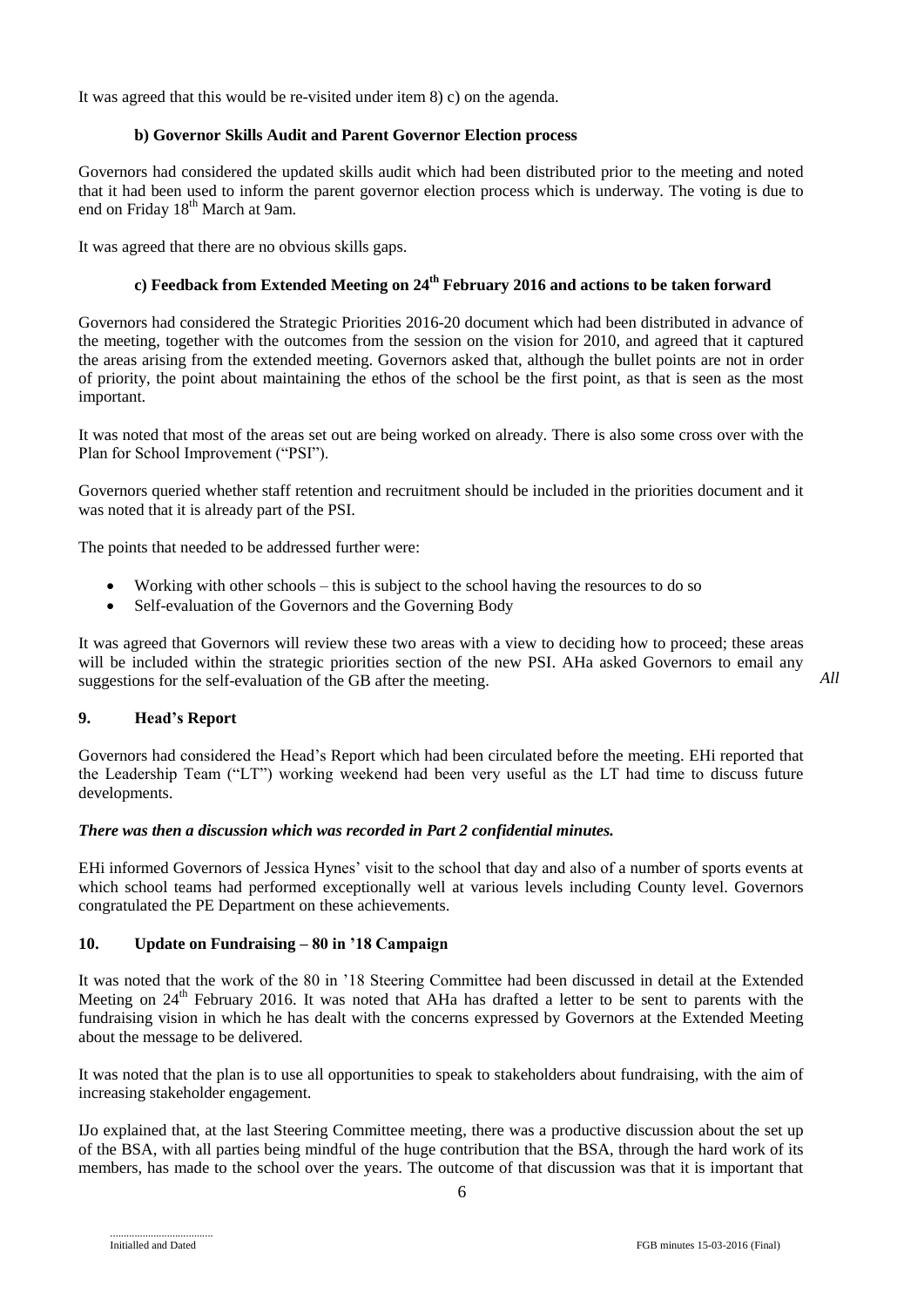It was agreed that this would be re-visited under item 8) c) on the agenda.

### **b) Governor Skills Audit and Parent Governor Election process**

Governors had considered the updated skills audit which had been distributed prior to the meeting and noted that it had been used to inform the parent governor election process which is underway. The voting is due to end on Friday 18<sup>th</sup> March at 9am.

It was agreed that there are no obvious skills gaps.

# **c) Feedback from Extended Meeting on 24th February 2016 and actions to be taken forward**

Governors had considered the Strategic Priorities 2016-20 document which had been distributed in advance of the meeting, together with the outcomes from the session on the vision for 2010, and agreed that it captured the areas arising from the extended meeting. Governors asked that, although the bullet points are not in order of priority, the point about maintaining the ethos of the school be the first point, as that is seen as the most important.

It was noted that most of the areas set out are being worked on already. There is also some cross over with the Plan for School Improvement ("PSI").

Governors queried whether staff retention and recruitment should be included in the priorities document and it was noted that it is already part of the PSI.

The points that needed to be addressed further were:

- Working with other schools this is subject to the school having the resources to do so
- Self-evaluation of the Governors and the Governing Body

It was agreed that Governors will review these two areas with a view to deciding how to proceed; these areas will be included within the strategic priorities section of the new PSI. AHa asked Governors to email any suggestions for the self-evaluation of the GB after the meeting.

## **9. Head's Report**

Governors had considered the Head's Report which had been circulated before the meeting. EHi reported that the Leadership Team ("LT") working weekend had been very useful as the LT had time to discuss future developments.

### *There was then a discussion which was recorded in Part 2 confidential minutes.*

EHi informed Governors of Jessica Hynes' visit to the school that day and also of a number of sports events at which school teams had performed exceptionally well at various levels including County level. Governors congratulated the PE Department on these achievements.

# **10. Update on Fundraising – 80 in '18 Campaign**

It was noted that the work of the 80 in '18 Steering Committee had been discussed in detail at the Extended Meeting on 24<sup>th</sup> February 2016. It was noted that AHa has drafted a letter to be sent to parents with the fundraising vision in which he has dealt with the concerns expressed by Governors at the Extended Meeting about the message to be delivered.

It was noted that the plan is to use all opportunities to speak to stakeholders about fundraising, with the aim of increasing stakeholder engagement.

IJo explained that, at the last Steering Committee meeting, there was a productive discussion about the set up of the BSA, with all parties being mindful of the huge contribution that the BSA, through the hard work of its members, has made to the school over the years. The outcome of that discussion was that it is important that

*All*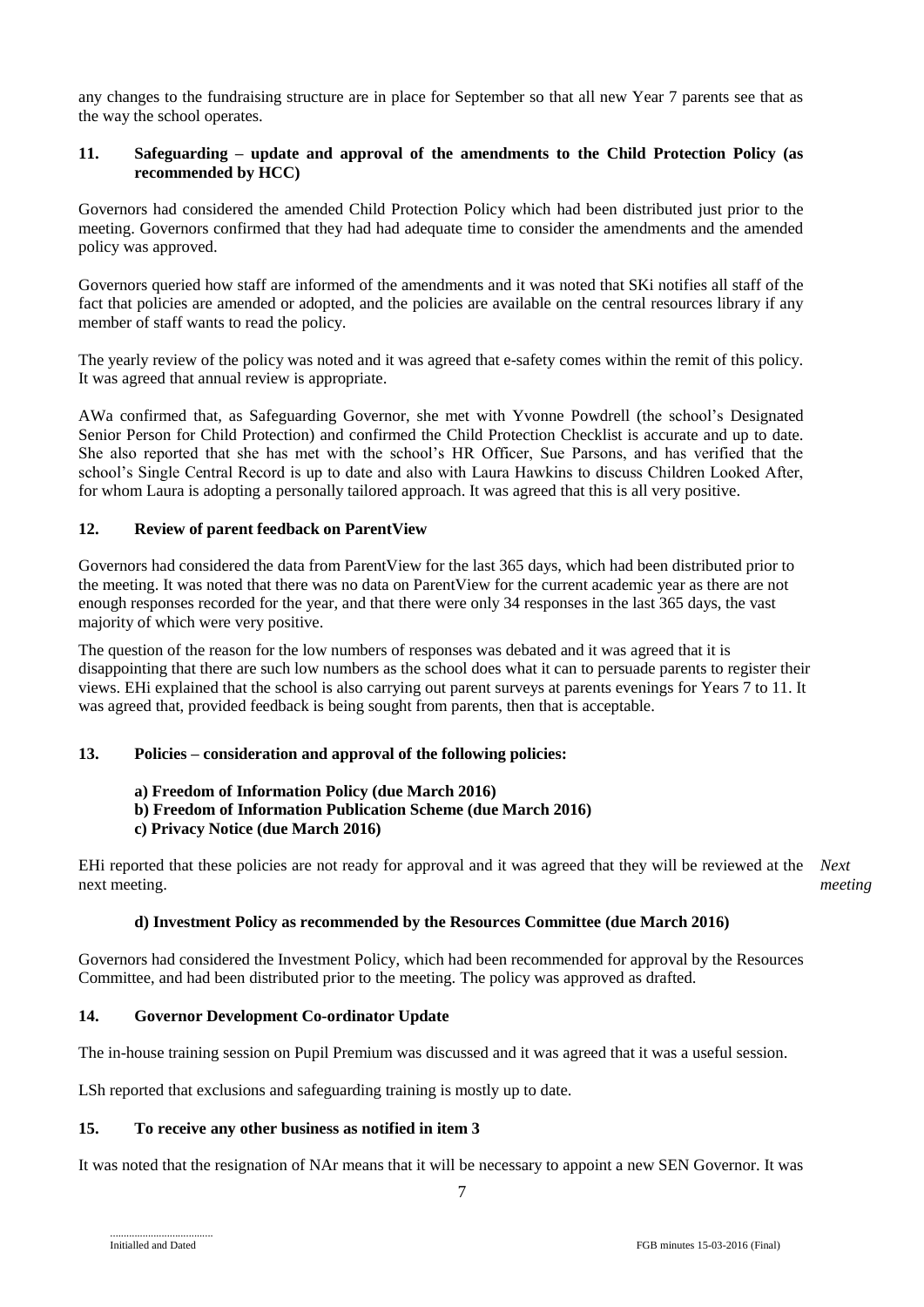any changes to the fundraising structure are in place for September so that all new Year 7 parents see that as the way the school operates.

### **11. Safeguarding – update and approval of the amendments to the Child Protection Policy (as recommended by HCC)**

Governors had considered the amended Child Protection Policy which had been distributed just prior to the meeting. Governors confirmed that they had had adequate time to consider the amendments and the amended policy was approved.

Governors queried how staff are informed of the amendments and it was noted that SKi notifies all staff of the fact that policies are amended or adopted, and the policies are available on the central resources library if any member of staff wants to read the policy.

The yearly review of the policy was noted and it was agreed that e-safety comes within the remit of this policy. It was agreed that annual review is appropriate.

AWa confirmed that, as Safeguarding Governor, she met with Yvonne Powdrell (the school's Designated Senior Person for Child Protection) and confirmed the Child Protection Checklist is accurate and up to date. She also reported that she has met with the school's HR Officer, Sue Parsons, and has verified that the school's Single Central Record is up to date and also with Laura Hawkins to discuss Children Looked After, for whom Laura is adopting a personally tailored approach. It was agreed that this is all very positive.

## **12. Review of parent feedback on ParentView**

Governors had considered the data from ParentView for the last 365 days, which had been distributed prior to the meeting. It was noted that there was no data on ParentView for the current academic year as there are not enough responses recorded for the year, and that there were only 34 responses in the last 365 days, the vast majority of which were very positive.

The question of the reason for the low numbers of responses was debated and it was agreed that it is disappointing that there are such low numbers as the school does what it can to persuade parents to register their views. EHi explained that the school is also carrying out parent surveys at parents evenings for Years 7 to 11. It was agreed that, provided feedback is being sought from parents, then that is acceptable.

### **13. Policies – consideration and approval of the following policies:**

## **a) Freedom of Information Policy (due March 2016)**

**b) Freedom of Information Publication Scheme (due March 2016)**

# **c) Privacy Notice (due March 2016)**

EHi reported that these policies are not ready for approval and it was agreed that they will be reviewed at the *Next*  next meeting. *meeting*

## **d) Investment Policy as recommended by the Resources Committee (due March 2016)**

Governors had considered the Investment Policy, which had been recommended for approval by the Resources Committee, and had been distributed prior to the meeting. The policy was approved as drafted.

# **14. Governor Development Co-ordinator Update**

The in-house training session on Pupil Premium was discussed and it was agreed that it was a useful session.

LSh reported that exclusions and safeguarding training is mostly up to date.

### **15. To receive any other business as notified in item 3**

It was noted that the resignation of NAr means that it will be necessary to appoint a new SEN Governor. It was